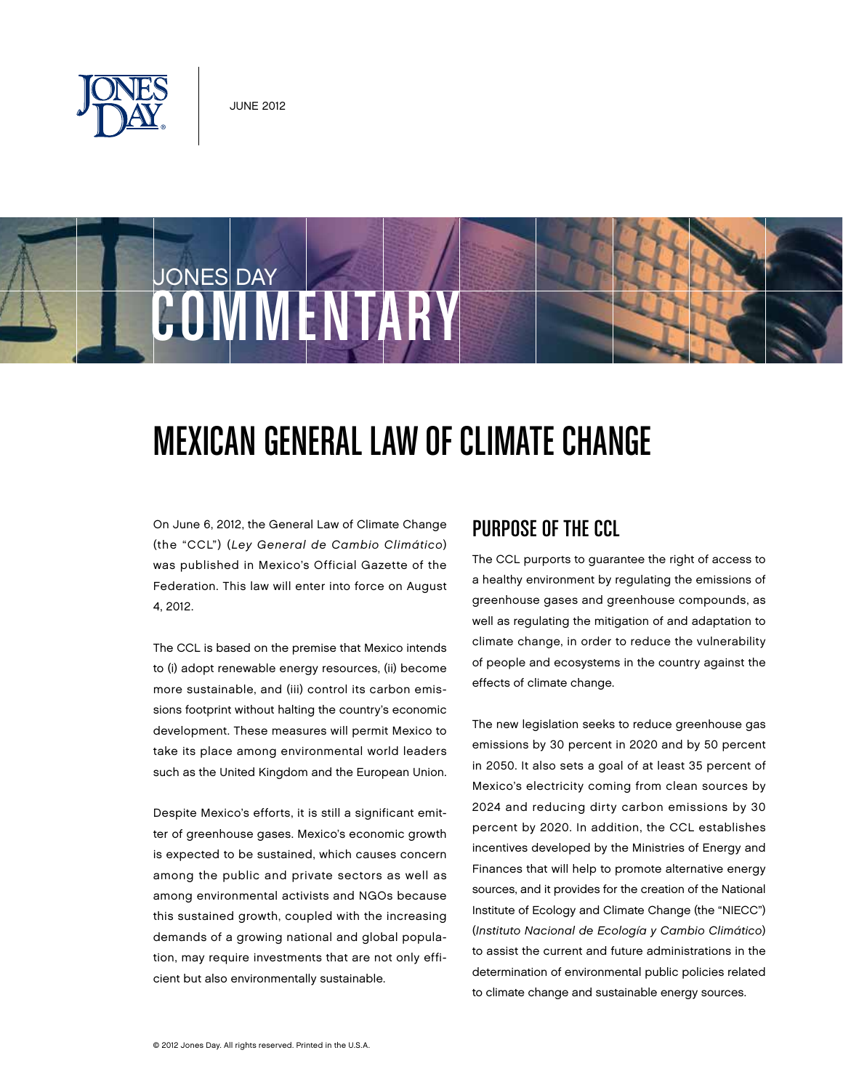

# JONES DAY COMMENTARY

## Mexican General Law of Climate Change

On June 6, 2012, the General Law of Climate Change (the "CCL") (Ley General de Cambio Climático) was published in Mexico's Official Gazette of the Federation. This law will enter into force on August 4, 2012.

The CCL is based on the premise that Mexico intends to (i) adopt renewable energy resources, (ii) become more sustainable, and (iii) control its carbon emissions footprint without halting the country's economic development. These measures will permit Mexico to take its place among environmental world leaders such as the United Kingdom and the European Union.

Despite Mexico's efforts, it is still a significant emitter of greenhouse gases. Mexico's economic growth is expected to be sustained, which causes concern among the public and private sectors as well as among environmental activists and NGOs because this sustained growth, coupled with the increasing demands of a growing national and global population, may require investments that are not only efficient but also environmentally sustainable.

#### Purpose of the CCL

The CCL purports to guarantee the right of access to a healthy environment by regulating the emissions of greenhouse gases and greenhouse compounds, as well as regulating the mitigation of and adaptation to climate change, in order to reduce the vulnerability of people and ecosystems in the country against the effects of climate change.

The new legislation seeks to reduce greenhouse gas emissions by 30 percent in 2020 and by 50 percent in 2050. It also sets a goal of at least 35 percent of Mexico's electricity coming from clean sources by 2024 and reducing dirty carbon emissions by 30 percent by 2020. In addition, the CCL establishes incentives developed by the Ministries of Energy and Finances that will help to promote alternative energy sources, and it provides for the creation of the National Institute of Ecology and Climate Change (the "NIECC") (Instituto Nacional de Ecología y Cambio Climático) to assist the current and future administrations in the determination of environmental public policies related to climate change and sustainable energy sources.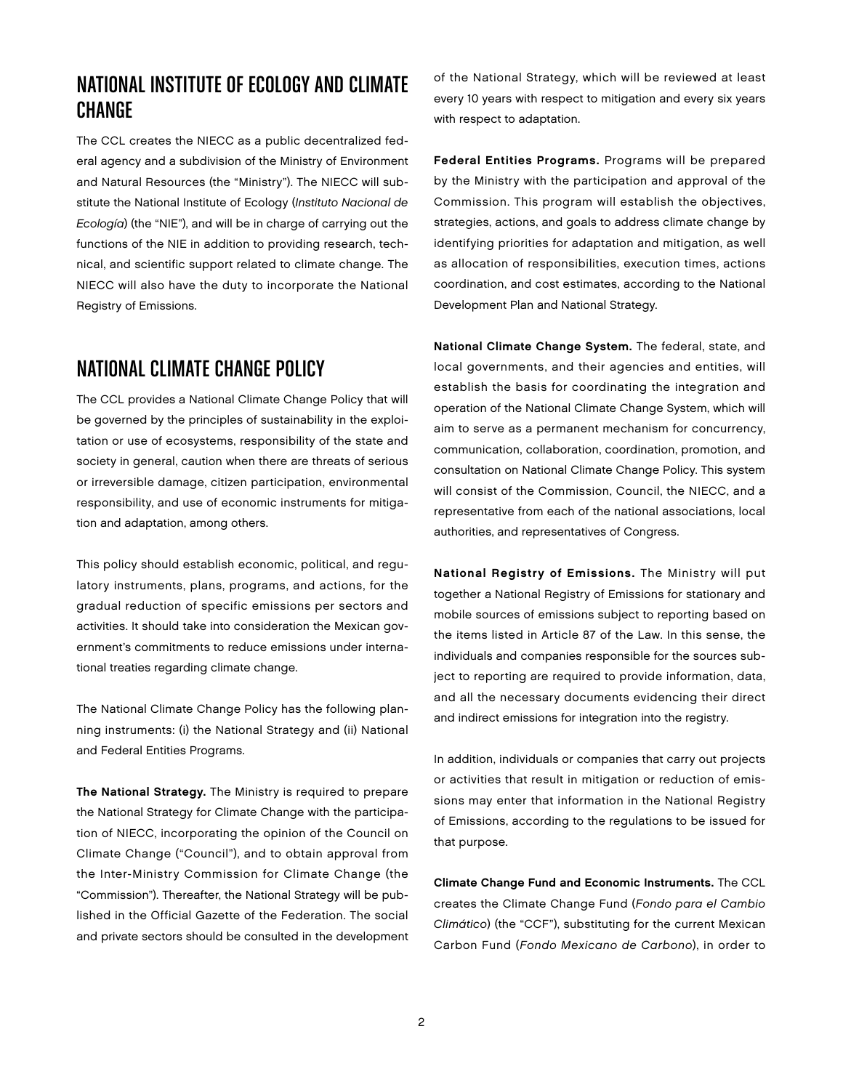#### National Institute of Ecology and Climate **CHANGE**

The CCL creates the NIECC as a public decentralized federal agency and a subdivision of the Ministry of Environment and Natural Resources (the "Ministry"). The NIECC will substitute the National Institute of Ecology (Instituto Nacional de Ecología) (the "NIE"), and will be in charge of carrying out the functions of the NIE in addition to providing research, technical, and scientific support related to climate change. The NIECC will also have the duty to incorporate the National Registry of Emissions.

#### National Climate Change Policy

The CCL provides a National Climate Change Policy that will be governed by the principles of sustainability in the exploitation or use of ecosystems, responsibility of the state and society in general, caution when there are threats of serious or irreversible damage, citizen participation, environmental responsibility, and use of economic instruments for mitigation and adaptation, among others.

This policy should establish economic, political, and regulatory instruments, plans, programs, and actions, for the gradual reduction of specific emissions per sectors and activities. It should take into consideration the Mexican government's commitments to reduce emissions under international treaties regarding climate change.

The National Climate Change Policy has the following planning instruments: (i) the National Strategy and (ii) National and Federal Entities Programs.

The National Strategy. The Ministry is required to prepare the National Strategy for Climate Change with the participation of NIECC, incorporating the opinion of the Council on Climate Change ("Council"), and to obtain approval from the Inter-Ministry Commission for Climate Change (the "Commission"). Thereafter, the National Strategy will be published in the Official Gazette of the Federation. The social and private sectors should be consulted in the development

of the National Strategy, which will be reviewed at least every 10 years with respect to mitigation and every six years with respect to adaptation.

Federal Entities Programs. Programs will be prepared by the Ministry with the participation and approval of the Commission. This program will establish the objectives, strategies, actions, and goals to address climate change by identifying priorities for adaptation and mitigation, as well as allocation of responsibilities, execution times, actions coordination, and cost estimates, according to the National Development Plan and National Strategy.

National Climate Change System. The federal, state, and local governments, and their agencies and entities, will establish the basis for coordinating the integration and operation of the National Climate Change System, which will aim to serve as a permanent mechanism for concurrency, communication, collaboration, coordination, promotion, and consultation on National Climate Change Policy. This system will consist of the Commission, Council, the NIECC, and a representative from each of the national associations, local authorities, and representatives of Congress.

National Registry of Emissions. The Ministry will put together a National Registry of Emissions for stationary and mobile sources of emissions subject to reporting based on the items listed in Article 87 of the Law. In this sense, the individuals and companies responsible for the sources subject to reporting are required to provide information, data, and all the necessary documents evidencing their direct and indirect emissions for integration into the registry.

In addition, individuals or companies that carry out projects or activities that result in mitigation or reduction of emissions may enter that information in the National Registry of Emissions, according to the regulations to be issued for that purpose.

Climate Change Fund and Economic Instruments. The CCL creates the Climate Change Fund (Fondo para el Cambio Climático) (the "CCF"), substituting for the current Mexican Carbon Fund (Fondo Mexicano de Carbono), in order to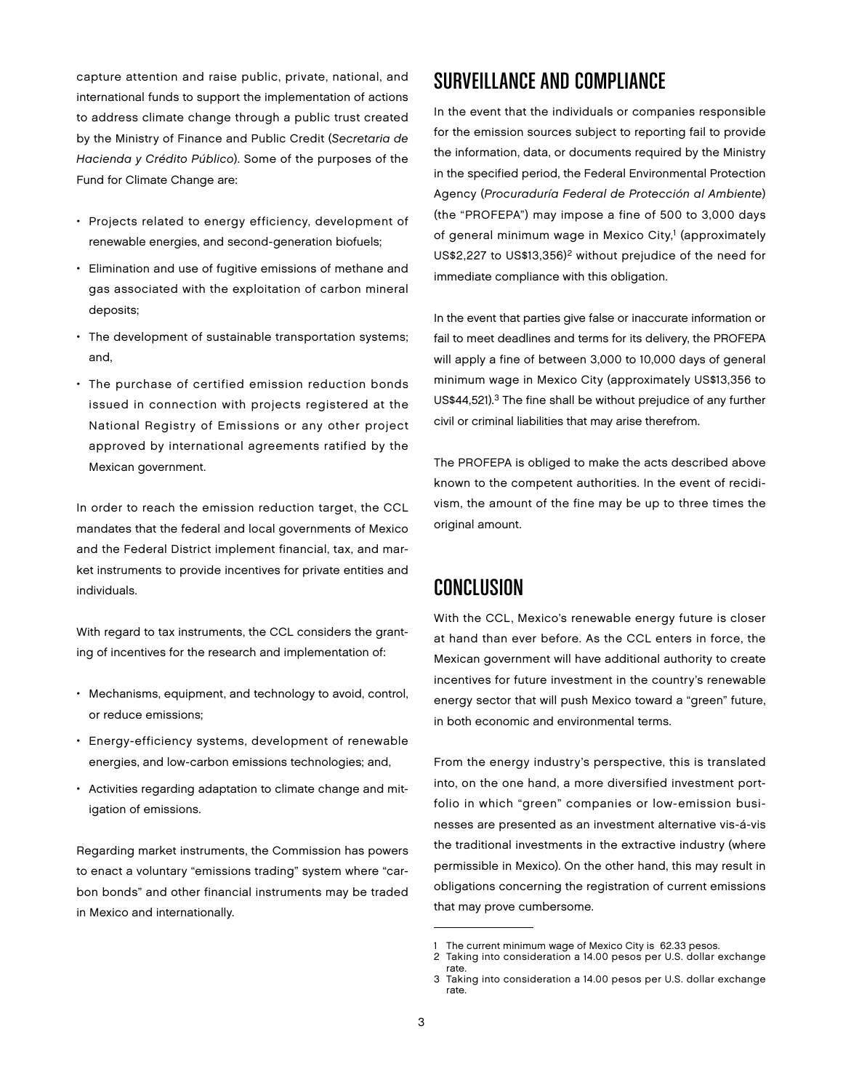capture attention and raise public, private, national, and international funds to support the implementation of actions to address climate change through a public trust created by the Ministry of Finance and Public Credit (Secretaria de Hacienda y Crédito Público). Some of the purposes of the Fund for Climate Change are:

- Projects related to energy efficiency, development of renewable energies, and second-generation biofuels;
- Elimination and use of fugitive emissions of methane and gas associated with the exploitation of carbon mineral deposits;
- The development of sustainable transportation systems; and,
- The purchase of certified emission reduction bonds issued in connection with projects registered at the National Registry of Emissions or any other project approved by international agreements ratified by the Mexican government.

In order to reach the emission reduction target, the CCL mandates that the federal and local governments of Mexico and the Federal District implement financial, tax, and market instruments to provide incentives for private entities and individuals.

With regard to tax instruments, the CCL considers the granting of incentives for the research and implementation of:

- Mechanisms, equipment, and technology to avoid, control, or reduce emissions;
- Energy-efficiency systems, development of renewable energies, and low-carbon emissions technologies; and,
- Activities regarding adaptation to climate change and mitigation of emissions.

Regarding market instruments, the Commission has powers to enact a voluntary "emissions trading" system where "carbon bonds" and other financial instruments may be traded in Mexico and internationally.

#### Surveillance and Compliance

In the event that the individuals or companies responsible for the emission sources subject to reporting fail to provide the information, data, or documents required by the Ministry in the specified period, the Federal Environmental Protection Agency (Procuraduría Federal de Protección al Ambiente) (the "PROFEPA") may impose a fine of 500 to 3,000 days of general minimum wage in Mexico City,<sup>1</sup> (approximately US\$2,227 to US\$13,356)2 without prejudice of the need for immediate compliance with this obligation.

In the event that parties give false or inaccurate information or fail to meet deadlines and terms for its delivery, the PROFEPA will apply a fine of between 3,000 to 10,000 days of general minimum wage in Mexico City (approximately US\$13,356 to US\$44,521).<sup>3</sup> The fine shall be without prejudice of any further civil or criminal liabilities that may arise therefrom.

The PROFEPA is obliged to make the acts described above known to the competent authorities. In the event of recidivism, the amount of the fine may be up to three times the original amount.

#### Conclusion

With the CCL, Mexico's renewable energy future is closer at hand than ever before. As the CCL enters in force, the Mexican government will have additional authority to create incentives for future investment in the country's renewable energy sector that will push Mexico toward a "green" future, in both economic and environmental terms.

From the energy industry's perspective, this is translated into, on the one hand, a more diversified investment portfolio in which "green" companies or low-emission businesses are presented as an investment alternative vis-á-vis the traditional investments in the extractive industry (where permissible in Mexico). On the other hand, this may result in obligations concerning the registration of current emissions that may prove cumbersome.

The current minimum wage of Mexico City is 62.33 pesos.

<sup>2</sup> Taking into consideration a 14.00 pesos per U.S. dollar exchange rate.

<sup>3</sup> Taking into consideration a 14.00 pesos per U.S. dollar exchange rate.